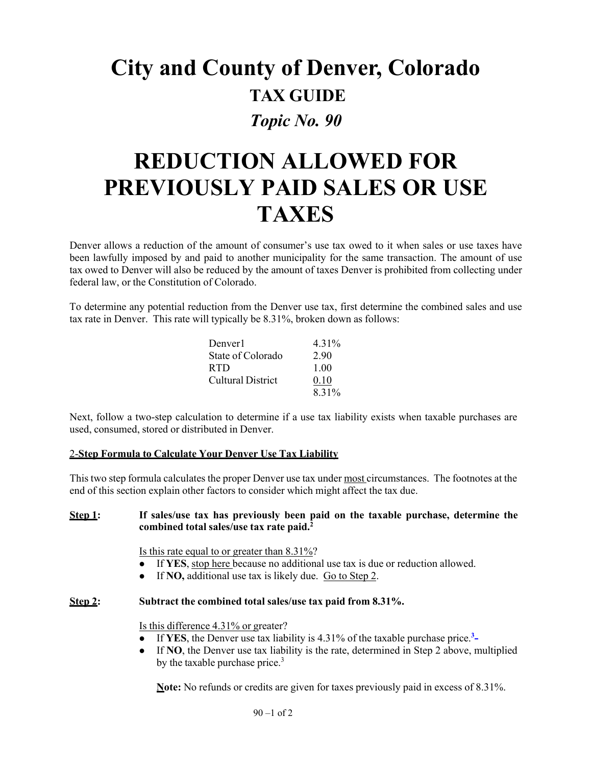# **City and County of Denver, Colorado TAX GUIDE** *Topic No. 90*

# **REDUCTION ALLOWED FOR PREVIOUSLY PAID SALES OR USE TAXES**

Denver allows a reduction of the amount of consumer's use tax owed to it when sales or use taxes have been lawfully imposed by and paid to another municipality for the same transaction. The amount of use tax owed to Denver will also be reduced by the amount of taxes Denver is prohibited from collecting under federal law, or the Constitution of Colorado.

To determine any potential reduction from the Denver use tax, first determine the combined sales and use tax rate in Denver. This rate will typically be 8.31%, broken down as follows:

| Denver1                  | 4.31% |
|--------------------------|-------|
| State of Colorado        | 2.90  |
| <b>RTD</b>               | 1.00  |
| <b>Cultural District</b> | 0.10  |
|                          | 8.31% |

Next, follow a two-step calculation to determine if a use tax liability exists when taxable purchases are used, consumed, stored or distributed in Denver.

### 2-**Step Formula to Calculate Your Denver Use Tax Liability**

This two step formula calculates the proper Denver use tax under most circumstances. The footnotes at the end of this section explain other factors to consider which might affect the tax due.

### **Step 1: If sales/use tax has previously been paid on the taxable purchase, determine the combined total sales/use tax rate paid.2**

Is this rate equal to or greater than 8.31%?

- If **YES**, stop here because no additional use tax is due or reduction allowed.
- If **NO,** additional use tax is likely due. Go to Step 2.

## **Step 2: Subtract the combined total sales/use tax paid from 8.31%.**

Is this difference 4.31% or greater?

- If **YES**, the Denver use tax liability is 4.31% of the taxable purchase price.**<sup>3</sup>**
- If **NO**, the Denver use tax liability is the rate, determined in Step 2 above, multiplied by the taxable purchase price. $3$

**Note:** No refunds or credits are given for taxes previously paid in excess of 8.31%.